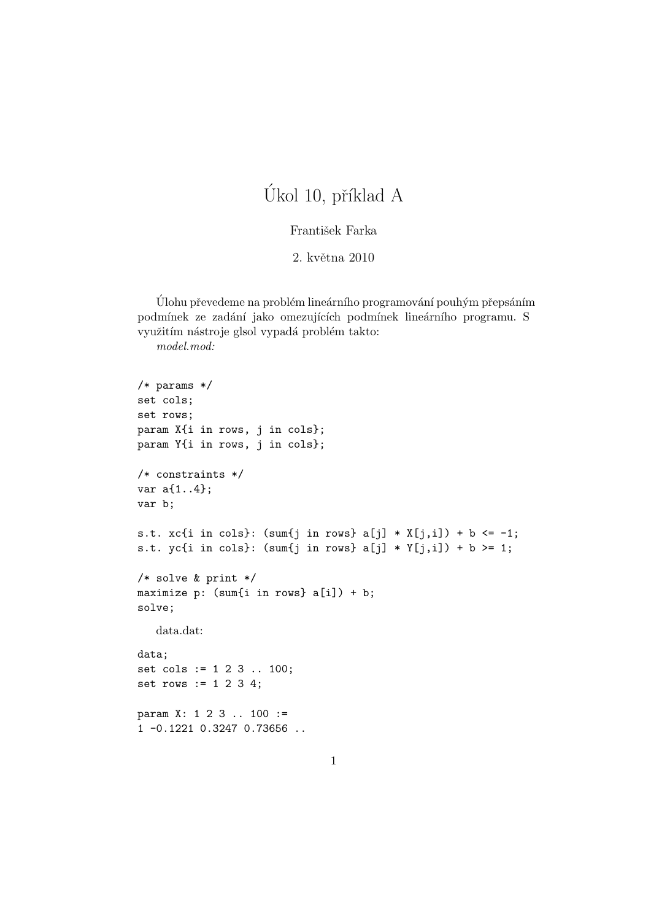## Úkol 10, příklad A

## František Farka

2. května 2010

Úlohu převedeme na problém lineárního programování pouhým přepsáním podmínek ze zadání jako omezujících podmínek lineárního programu. S využitím nástroje glsol vypadá problém takto:

model.mod:

```
/* params */
set cols;
set rows;
param X{i in rows, j in cols};
param Y{i in rows, j in cols};
/* constraints */
var a{1..4};
var b;
s.t. xcfi in cols}: (sum\{j \text{ in rows}\}\ a[j] * X[j,i]) + b \le -1;s.t. yc{i in cols}: (sum{j in rows} a[j] * Y[j,i]) + b >= 1;
/* solve & print */
maximize p: (sum{i in rows} a[i]) + b;
solve;
   data.dat:
data;
set cols := 1 2 3 .. 100;
set rows := 1 2 3 4;
param X: 1 2 3 .. 100 :=
1 -0.1221 0.3247 0.73656 ..
```